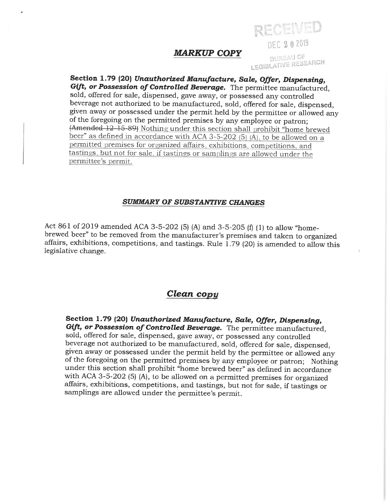## **MARKUP COPY**

**BUREAU OF LEGISLATIVE RESEARCH** 

DEC 2 0 2019

RECEIVED

Section 1.79 (20) Unauthorized Manufacture, Sale, Offer, Dispensing, Gift, or Possession of Controlled Beverage. The permittee manufactured, sold, offered for sale, dispensed, gave away, or possessed any controlled beverage not authorized to be manufactured, sold, offered for sale, dispensed, given away or possessed under the permit held by the permittee or allowed any of the foregoing on the permitted premises by any employee or patron; (Amended 12-15-89) Nothing under this section shall prohibit "home brewed beer" as defined in accordance with ACA 3-5-202 (5) (A), to be allowed on a permitted premises for organized affairs, exhibitions, competitions, and tastings, but not for sale, if tastings or samplings are allowed under the permittee's permit.

## **SUMMARY OF SUBSTANTIVE CHANGES**

Act 861 of 2019 amended ACA 3-5-202 (5) (A) and 3-5-205 (f) (1) to allow "homebrewed beer" to be removed from the manufacturer's premises and taken to organized affairs, exhibitions, competitions, and tastings. Rule 1.79 (20) is amended to allow this legislative change.

## Clean copy

Section 1.79 (20) Unauthorized Manufacture, Sale, Offer, Dispensing, Gift, or Possession of Controlled Beverage. The permittee manufactured, sold, offered for sale, dispensed, gave away, or possessed any controlled beverage not authorized to be manufactured, sold, offered for sale, dispensed, given away or possessed under the permit held by the permittee or allowed any of the foregoing on the permitted premises by any employee or patron; Nothing under this section shall prohibit "home brewed beer" as defined in accordance with ACA 3-5-202 (5)  $(A)$ , to be allowed on a permitted premises for organized affairs, exhibitions, competitions, and tastings, but not for sale, if tastings or samplings are allowed under the permittee's permit.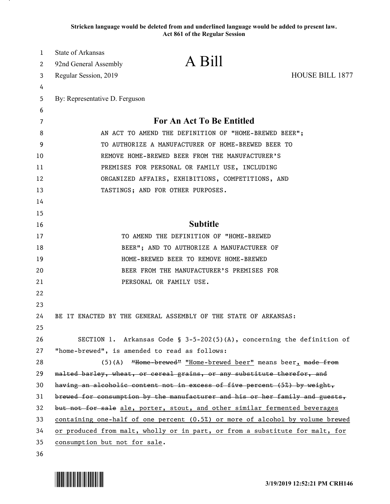**Stricken language would be deleted from and underlined language would be added to present law. Act 861 of the Regular Session**

| 1  | State of Arkansas                                                                                 |                                                                           |                        |
|----|---------------------------------------------------------------------------------------------------|---------------------------------------------------------------------------|------------------------|
| 2  | 92nd General Assembly                                                                             | A Bill                                                                    |                        |
| 3  | Regular Session, 2019                                                                             |                                                                           | <b>HOUSE BILL 1877</b> |
| 4  |                                                                                                   |                                                                           |                        |
| 5  | By: Representative D. Ferguson                                                                    |                                                                           |                        |
| 6  |                                                                                                   |                                                                           |                        |
| 7  |                                                                                                   | <b>For An Act To Be Entitled</b>                                          |                        |
| 8  | AN ACT TO AMEND THE DEFINITION OF "HOME-BREWED BEER";                                             |                                                                           |                        |
| 9  | TO AUTHORIZE A MANUFACTURER OF HOME-BREWED BEER TO                                                |                                                                           |                        |
| 10 |                                                                                                   | REMOVE HOME-BREWED BEER FROM THE MANUFACTURER'S                           |                        |
| 11 | PREMISES FOR PERSONAL OR FAMILY USE, INCLUDING                                                    |                                                                           |                        |
| 12 | ORGANIZED AFFAIRS, EXHIBITIONS, COMPETITIONS, AND                                                 |                                                                           |                        |
| 13 |                                                                                                   | TASTINGS; AND FOR OTHER PURPOSES.                                         |                        |
| 14 |                                                                                                   |                                                                           |                        |
| 15 |                                                                                                   |                                                                           |                        |
| 16 |                                                                                                   | <b>Subtitle</b>                                                           |                        |
| 17 |                                                                                                   | TO AMEND THE DEFINITION OF "HOME-BREWED                                   |                        |
| 18 |                                                                                                   | BEER"; AND TO AUTHORIZE A MANUFACTURER OF                                 |                        |
| 19 |                                                                                                   | HOME-BREWED BEER TO REMOVE HOME-BREWED                                    |                        |
| 20 |                                                                                                   | BEER FROM THE MANUFACTURER'S PREMISES FOR                                 |                        |
| 21 |                                                                                                   | PERSONAL OR FAMILY USE.                                                   |                        |
| 22 |                                                                                                   |                                                                           |                        |
| 23 |                                                                                                   |                                                                           |                        |
| 24 | BE IT ENACTED BY THE GENERAL ASSEMBLY OF THE STATE OF ARKANSAS:                                   |                                                                           |                        |
| 25 |                                                                                                   |                                                                           |                        |
| 26 |                                                                                                   | SECTION 1. Arkansas Code § $3-5-202(5)(A)$ , concerning the definition of |                        |
| 27 | "home-brewed", is amended to read as follows:                                                     |                                                                           |                        |
| 28 |                                                                                                   | (5)(A) "Home brewed" "Home-brewed beer" means beer, made from             |                        |
| 29 | malted barley, wheat, or cereal grains, or any substitute therefor, and                           |                                                                           |                        |
| 30 |                                                                                                   | having an alcoholic content not in excess of five percent (5%) by weight, |                        |
| 31 | brewed for consumption by the manufacturer and his or her family and guests,                      |                                                                           |                        |
| 32 | but not for sale ale, porter, stout, and other similar fermented beverages                        |                                                                           |                        |
| 33 | <u>containing one-half of one percent <math>(0.5%)</math> or more of alcohol by volume brewed</u> |                                                                           |                        |
| 34 | or produced from malt, wholly or in part, or from a substitute for malt, for                      |                                                                           |                        |
| 35 | consumption but not for sale.                                                                     |                                                                           |                        |
| 36 |                                                                                                   |                                                                           |                        |